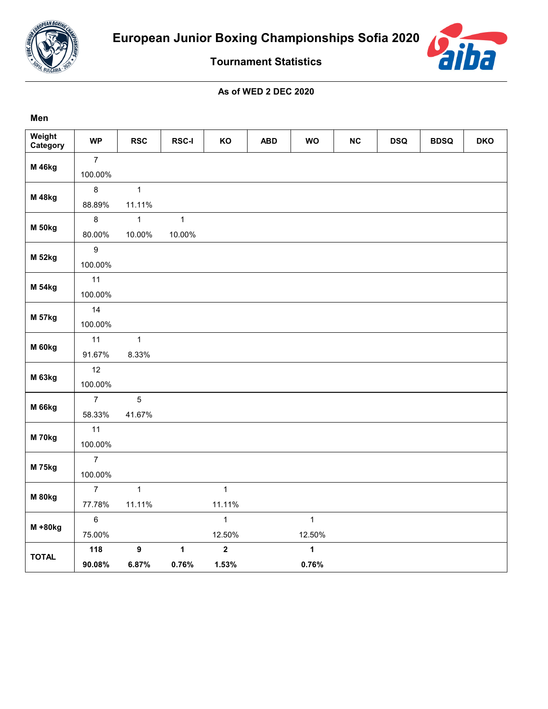

**Men**



**Tournament Statistics**

## **As of WED 2 DEC 2020**

| Weight<br>Category | <b>WP</b>      | <b>RSC</b>       | <b>RSC-I</b> | KO                      | <b>ABD</b> | <b>WO</b>    | NC | <b>DSQ</b> | <b>BDSQ</b> | <b>DKO</b> |
|--------------------|----------------|------------------|--------------|-------------------------|------------|--------------|----|------------|-------------|------------|
|                    | $\overline{7}$ |                  |              |                         |            |              |    |            |             |            |
| <b>M</b> 46kg      | 100.00%        |                  |              |                         |            |              |    |            |             |            |
|                    | $\bf 8$        | $\mathbf{1}$     |              |                         |            |              |    |            |             |            |
| <b>M</b> 48kg      | 88.89%         | 11.11%           |              |                         |            |              |    |            |             |            |
|                    | $\bf 8$        | $\mathbf{1}$     | $\mathbf{1}$ |                         |            |              |    |            |             |            |
| <b>M 50kg</b>      | 80.00%         | 10.00%           | 10.00%       |                         |            |              |    |            |             |            |
|                    | $\mathsf g$    |                  |              |                         |            |              |    |            |             |            |
| <b>M 52kg</b>      | 100.00%        |                  |              |                         |            |              |    |            |             |            |
|                    | 11             |                  |              |                         |            |              |    |            |             |            |
| <b>M 54kg</b>      | 100.00%        |                  |              |                         |            |              |    |            |             |            |
|                    | 14             |                  |              |                         |            |              |    |            |             |            |
| <b>M 57kg</b>      | 100.00%        |                  |              |                         |            |              |    |            |             |            |
|                    | 11             | $\mathbf{1}$     |              |                         |            |              |    |            |             |            |
| M 60kg             | 91.67%         | 8.33%            |              |                         |            |              |    |            |             |            |
|                    | 12             |                  |              |                         |            |              |    |            |             |            |
| M 63kg             | 100.00%        |                  |              |                         |            |              |    |            |             |            |
|                    | $\overline{7}$ | $\overline{5}$   |              |                         |            |              |    |            |             |            |
| <b>M 66kg</b>      | 58.33%         | 41.67%           |              |                         |            |              |    |            |             |            |
|                    | 11             |                  |              |                         |            |              |    |            |             |            |
| <b>M 70kg</b>      | 100.00%        |                  |              |                         |            |              |    |            |             |            |
|                    | $\overline{7}$ |                  |              |                         |            |              |    |            |             |            |
| <b>M 75kg</b>      | 100.00%        |                  |              |                         |            |              |    |            |             |            |
|                    | $\overline{7}$ | $\mathbf{1}$     |              | $\mathbf{1}$            |            |              |    |            |             |            |
| <b>M 80kg</b>      | 77.78%         | 11.11%           |              | 11.11%                  |            |              |    |            |             |            |
|                    | $\,6\,$        |                  |              | $\mathbf{1}$            |            | $\mathbf{1}$ |    |            |             |            |
| $M + 80kg$         | 75.00%         |                  |              | 12.50%                  |            | 12.50%       |    |            |             |            |
| <b>TOTAL</b>       | 118            | $\boldsymbol{9}$ | $\mathbf{1}$ | $\overline{\mathbf{2}}$ |            | $\mathbf{1}$ |    |            |             |            |
|                    | 90.08%         | 6.87%            | 0.76%        | 1.53%                   |            | 0.76%        |    |            |             |            |